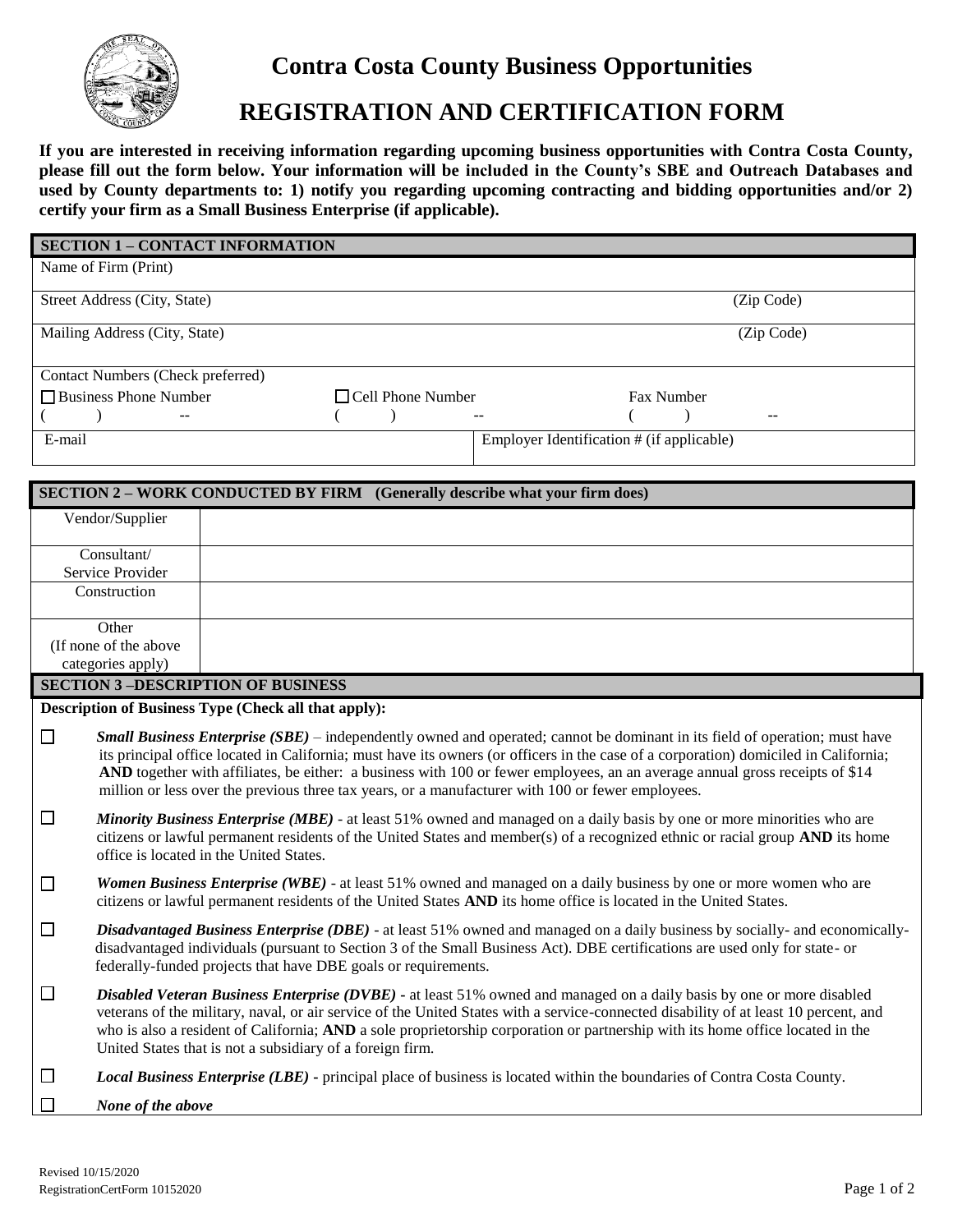

## **Contra Costa County Business Opportunities**

# **REGISTRATION AND CERTIFICATION FORM**

**If you are interested in receiving information regarding upcoming business opportunities with Contra Costa County, please fill out the form below. Your information will be included in the County's SBE and Outreach Databases and**  used by County departments to: 1) notify you regarding upcoming contracting and bidding opportunities and/or 2) **certify your firm as a Small Business Enterprise (if applicable).**

| <b>SECTION 1 - CONTACT INFORMATION</b>   |                          |                                           |            |
|------------------------------------------|--------------------------|-------------------------------------------|------------|
| Name of Firm (Print)                     |                          |                                           |            |
| Street Address (City, State)             |                          |                                           | (Zip Code) |
| Mailing Address (City, State)            |                          |                                           | (Zip Code) |
| <b>Contact Numbers (Check preferred)</b> |                          |                                           |            |
| □ Business Phone Number                  | $\Box$ Cell Phone Number | <b>Fax Number</b>                         |            |
| $- -$                                    |                          | $- -$                                     | $- -$      |
| E-mail                                   |                          | Employer Identification # (if applicable) |            |

| <b>SECTION 2 – WORK CONDUCTED BY FIRM</b> (Generally describe what your firm does) |                                                                                                                                                                                                                                                                                                                                                                                                                                                                                                                 |  |
|------------------------------------------------------------------------------------|-----------------------------------------------------------------------------------------------------------------------------------------------------------------------------------------------------------------------------------------------------------------------------------------------------------------------------------------------------------------------------------------------------------------------------------------------------------------------------------------------------------------|--|
|                                                                                    | Vendor/Supplier                                                                                                                                                                                                                                                                                                                                                                                                                                                                                                 |  |
|                                                                                    | Consultant/                                                                                                                                                                                                                                                                                                                                                                                                                                                                                                     |  |
|                                                                                    | Service Provider                                                                                                                                                                                                                                                                                                                                                                                                                                                                                                |  |
|                                                                                    | Construction                                                                                                                                                                                                                                                                                                                                                                                                                                                                                                    |  |
|                                                                                    | Other                                                                                                                                                                                                                                                                                                                                                                                                                                                                                                           |  |
|                                                                                    | (If none of the above                                                                                                                                                                                                                                                                                                                                                                                                                                                                                           |  |
|                                                                                    | categories apply)                                                                                                                                                                                                                                                                                                                                                                                                                                                                                               |  |
|                                                                                    | <b>SECTION 3-DESCRIPTION OF BUSINESS</b>                                                                                                                                                                                                                                                                                                                                                                                                                                                                        |  |
|                                                                                    | Description of Business Type (Check all that apply):                                                                                                                                                                                                                                                                                                                                                                                                                                                            |  |
| $\Box$                                                                             | <b>Small Business Enterprise (SBE)</b> – independently owned and operated; cannot be dominant in its field of operation; must have<br>its principal office located in California; must have its owners (or officers in the case of a corporation) domiciled in California;<br>AND together with affiliates, be either: a business with 100 or fewer employees, an an average annual gross receipts of \$14<br>million or less over the previous three tax years, or a manufacturer with 100 or fewer employees. |  |
| $\Box$                                                                             | Minority Business Enterprise (MBE) - at least 51% owned and managed on a daily basis by one or more minorities who are<br>citizens or lawful permanent residents of the United States and member(s) of a recognized ethnic or racial group AND its home<br>office is located in the United States.                                                                                                                                                                                                              |  |
| $\Box$                                                                             | Women Business Enterprise (WBE) - at least 51% owned and managed on a daily business by one or more women who are<br>citizens or lawful permanent residents of the United States AND its home office is located in the United States.                                                                                                                                                                                                                                                                           |  |
| $\Box$                                                                             | Disadvantaged Business Enterprise (DBE) - at least 51% owned and managed on a daily business by socially- and economically-<br>disadvantaged individuals (pursuant to Section 3 of the Small Business Act). DBE certifications are used only for state- or<br>federally-funded projects that have DBE goals or requirements.                                                                                                                                                                                    |  |
| $\Box$                                                                             | Disabled Veteran Business Enterprise (DVBE) - at least 51% owned and managed on a daily basis by one or more disabled<br>veterans of the military, naval, or air service of the United States with a service-connected disability of at least 10 percent, and<br>who is also a resident of California; AND a sole proprietorship corporation or partnership with its home office located in the<br>United States that is not a subsidiary of a foreign firm.                                                    |  |
| $\Box$                                                                             | Local Business Enterprise (LBE) - principal place of business is located within the boundaries of Contra Costa County.                                                                                                                                                                                                                                                                                                                                                                                          |  |
|                                                                                    | None of the above                                                                                                                                                                                                                                                                                                                                                                                                                                                                                               |  |